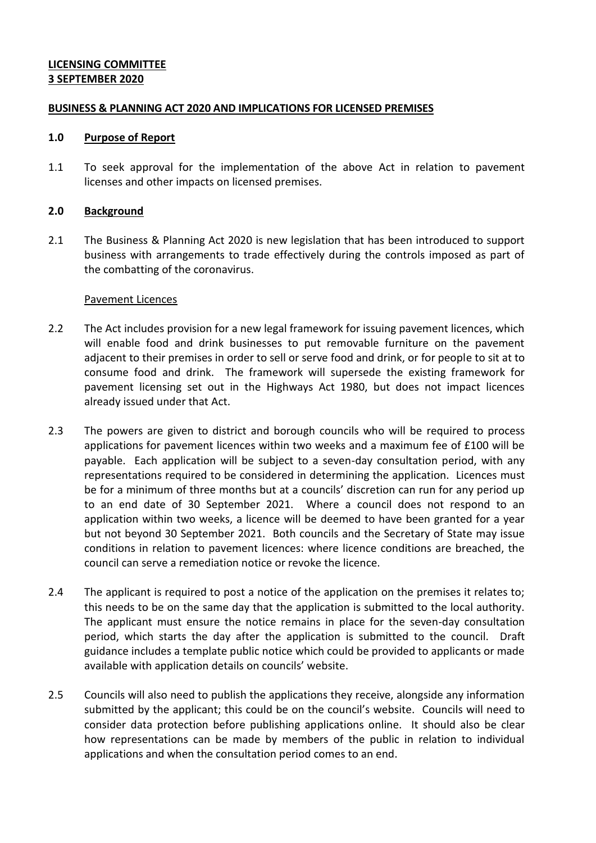## **LICENSING COMMITTEE 3 SEPTEMBER 2020**

#### **BUSINESS & PLANNING ACT 2020 AND IMPLICATIONS FOR LICENSED PREMISES**

#### **1.0 Purpose of Report**

1.1 To seek approval for the implementation of the above Act in relation to pavement licenses and other impacts on licensed premises.

## **2.0 Background**

2.1 The Business & Planning Act 2020 is new legislation that has been introduced to support business with arrangements to trade effectively during the controls imposed as part of the combatting of the coronavirus.

#### Pavement Licences

- 2.2 The Act includes provision for a new legal framework for issuing pavement licences, which will enable food and drink businesses to put removable furniture on the pavement adjacent to their premises in order to sell or serve food and drink, or for people to sit at to consume food and drink. The framework will supersede the existing framework for pavement licensing set out in the Highways Act 1980, but does not impact licences already issued under that Act.
- 2.3 The powers are given to district and borough councils who will be required to process applications for pavement licences within two weeks and a maximum fee of £100 will be payable. Each application will be subject to a seven-day consultation period, with any representations required to be considered in determining the application. Licences must be for a minimum of three months but at a councils' discretion can run for any period up to an end date of 30 September 2021. Where a council does not respond to an application within two weeks, a licence will be deemed to have been granted for a year but not beyond 30 September 2021. Both councils and the Secretary of State may issue conditions in relation to pavement licences: where licence conditions are breached, the council can serve a remediation notice or revoke the licence.
- 2.4 The applicant is required to post a notice of the application on the premises it relates to; this needs to be on the same day that the application is submitted to the local authority. The applicant must ensure the notice remains in place for the seven-day consultation period, which starts the day after the application is submitted to the council. Draft guidance includes a template public notice which could be provided to applicants or made available with application details on councils' website.
- 2.5 Councils will also need to publish the applications they receive, alongside any information submitted by the applicant; this could be on the council's website. Councils will need to consider data protection before publishing applications online. It should also be clear how representations can be made by members of the public in relation to individual applications and when the consultation period comes to an end.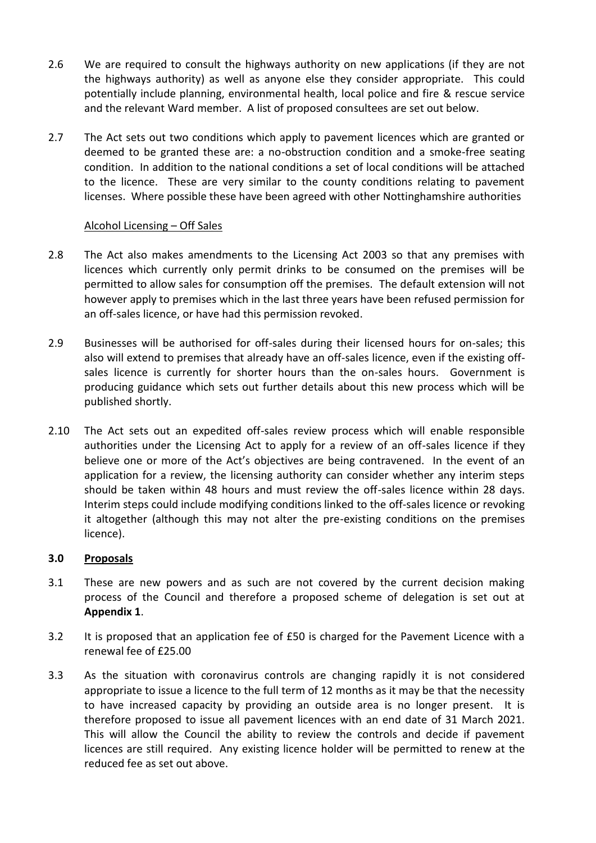- 2.6 We are required to consult the highways authority on new applications (if they are not the highways authority) as well as anyone else they consider appropriate. This could potentially include planning, environmental health, local police and fire & rescue service and the relevant Ward member. A list of proposed consultees are set out below.
- 2.7 The Act sets out two conditions which apply to pavement licences which are granted or deemed to be granted these are: a no-obstruction condition and a smoke-free seating condition. In addition to the national conditions a set of local conditions will be attached to the licence. These are very similar to the county conditions relating to pavement licenses. Where possible these have been agreed with other Nottinghamshire authorities

# Alcohol Licensing – Off Sales

- 2.8 The Act also makes amendments to the Licensing Act 2003 so that any premises with licences which currently only permit drinks to be consumed on the premises will be permitted to allow sales for consumption off the premises. The default extension will not however apply to premises which in the last three years have been refused permission for an off-sales licence, or have had this permission revoked.
- 2.9 Businesses will be authorised for off-sales during their licensed hours for on-sales; this also will extend to premises that already have an off-sales licence, even if the existing offsales licence is currently for shorter hours than the on-sales hours. Government is producing guidance which sets out further details about this new process which will be published shortly.
- 2.10 The Act sets out an expedited off-sales review process which will enable responsible authorities under the Licensing Act to apply for a review of an off-sales licence if they believe one or more of the Act's objectives are being contravened. In the event of an application for a review, the licensing authority can consider whether any interim steps should be taken within 48 hours and must review the off-sales licence within 28 days. Interim steps could include modifying conditions linked to the off-sales licence or revoking it altogether (although this may not alter the pre-existing conditions on the premises licence).

# **3.0 Proposals**

- 3.1 These are new powers and as such are not covered by the current decision making process of the Council and therefore a proposed scheme of delegation is set out at **Appendix 1**.
- 3.2 It is proposed that an application fee of £50 is charged for the Pavement Licence with a renewal fee of £25.00
- 3.3 As the situation with coronavirus controls are changing rapidly it is not considered appropriate to issue a licence to the full term of 12 months as it may be that the necessity to have increased capacity by providing an outside area is no longer present. It is therefore proposed to issue all pavement licences with an end date of 31 March 2021. This will allow the Council the ability to review the controls and decide if pavement licences are still required. Any existing licence holder will be permitted to renew at the reduced fee as set out above.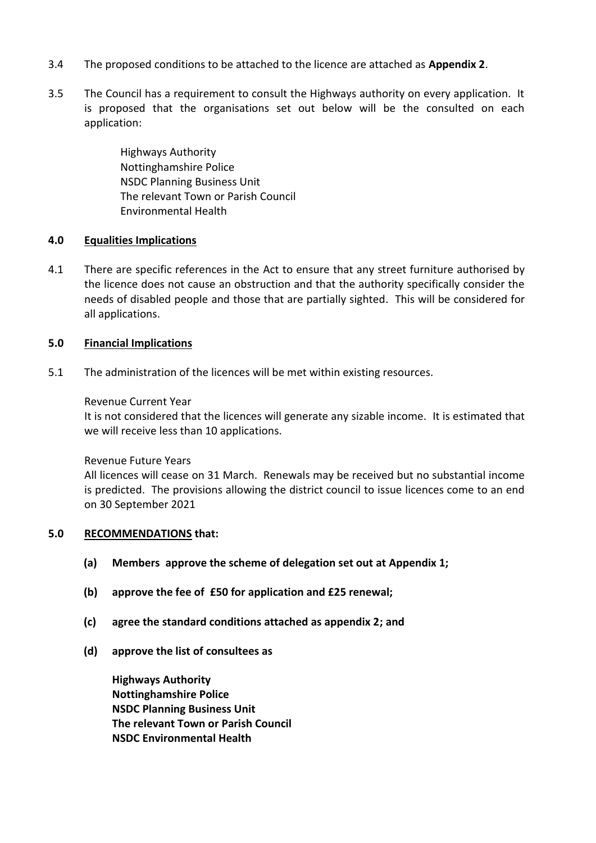- 3.4 The proposed conditions to be attached to the licence are attached as **Appendix 2**.
- 3.5 The Council has a requirement to consult the Highways authority on every application. It is proposed that the organisations set out below will be the consulted on each application:

Highways Authority Nottinghamshire Police NSDC Planning Business Unit The relevant Town or Parish Council Environmental Health

## **4.0 Equalities Implications**

4.1 There are specific references in the Act to ensure that any street furniture authorised by the licence does not cause an obstruction and that the authority specifically consider the needs of disabled people and those that are partially sighted. This will be considered for all applications.

# **5.0 Financial Implications**

5.1 The administration of the licences will be met within existing resources.

## Revenue Current Year

It is not considered that the licences will generate any sizable income. It is estimated that we will receive less than 10 applications.

## Revenue Future Years

All licences will cease on 31 March. Renewals may be received but no substantial income is predicted. The provisions allowing the district council to issue licences come to an end on 30 September 2021

## **5.0 RECOMMENDATIONS that:**

- **(a) Members approve the scheme of delegation set out at Appendix 1;**
- **(b) approve the fee of £50 for application and £25 renewal;**
- **(c) agree the standard conditions attached as appendix 2; and**
- **(d) approve the list of consultees as**

**Highways Authority Nottinghamshire Police NSDC Planning Business Unit The relevant Town or Parish Council NSDC Environmental Health**